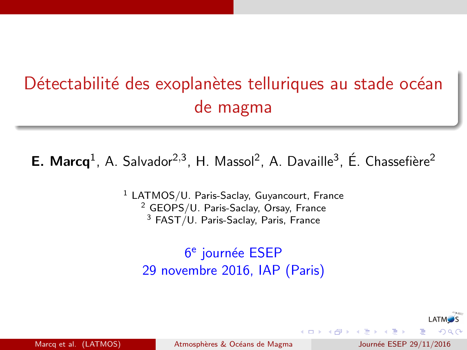# <span id="page-0-0"></span>Détectabilité des exoplanètes telluriques au stade océan de magma

E. Marcq<sup>1</sup>, A. Salvador<sup>2,3</sup>, H. Massol<sup>2</sup>, A. Davaille<sup>3</sup>, É. Chassefière<sup>2</sup>

<sup>1</sup> LATMOS/U. Paris-Saclay, Guyancourt, France <sup>2</sup> GEOPS/U. Paris-Saclay, Orsay, France <sup>3</sup> FAST/U. Paris-Saclay, Paris, France

6<sup>e</sup> journée ESEP 29 novembre 2016, IAP (Paris)

Marcq et al. (LATMOS) Atmosphères & Océans de Magma Journée ESEP 29/11/2016

 $\Omega$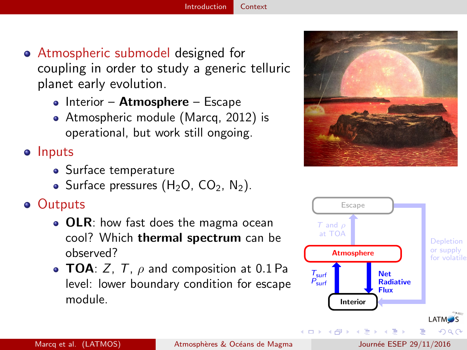- <span id="page-1-0"></span>Atmospheric submodel designed for coupling in order to study a generic telluric planet early evolution.
	- $\bullet$  Interior Atmosphere Escape
	- Atmospheric module (Marcq, 2012) is operational, but work still ongoing.

• Inputs

- Surface temperature
- Surface pressures  $(H_2O, CO_2, N_2)$ .

**•** Outputs

- OLR: how fast does the magma ocean cool? Which thermal spectrum can be observed?
- TOA:  $Z$ ,  $T$ ,  $\rho$  and composition at 0.1 Pa level: lower boundary condition for escape module.



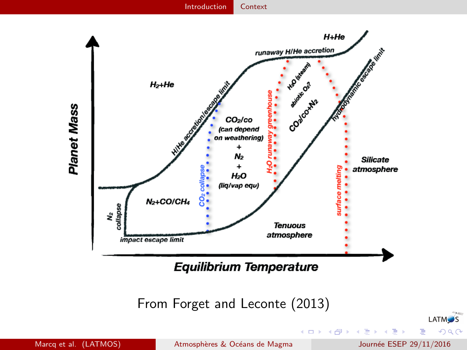

<span id="page-2-0"></span>![](_page_2_Figure_2.jpeg)

From Forget and Leconte (2013)

Marcq et al. (LATMOS) Atmosphères & Océans de Magma Journée ESEP 29/11/2016

4 0 8 → 母→

Þ

B  $\,$ 一本 重 下

74 LATM<sub>S</sub>  $2Q$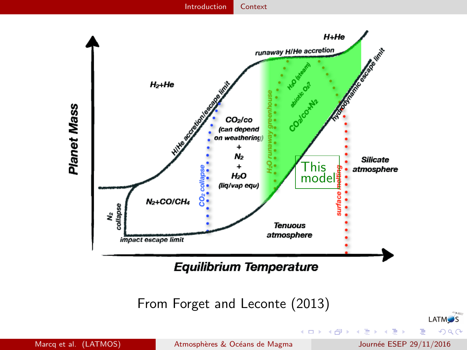<span id="page-3-0"></span>![](_page_3_Figure_2.jpeg)

Marcq et al. (LATMOS) Atmosphères & Océans de Magma Journée ESEP 29/11/2016

э

74 LATM<sub>S</sub>  $2Q$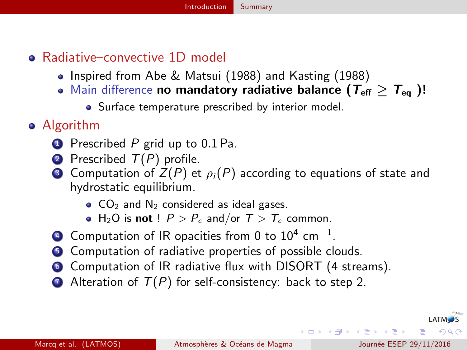- <span id="page-4-0"></span>Radiative–convective 1D model
	- Inspired from Abe & Matsui (1988) and Kasting (1988)
	- Main difference no mandatory radiative balance ( $T_{\text{eff}} > T_{\text{eq}}$ )!
		- Surface temperature prescribed by interior model.

#### Algorithm

- $\bullet$  Prescribed P grid up to 0.1 Pa.
- **2** Prescribed  $T(P)$  profile.
- **3** Computation of  $Z(P)$  et  $\rho_i(P)$  according to equations of state and hydrostatic equilibrium.
	- $\bullet$  CO<sub>2</sub> and N<sub>2</sub> considered as ideal gases.
	- H<sub>2</sub>O is not !  $P > P_c$  and/or  $T > T_c$  common.
- $^{\rm 4}$  Computation of IR opacities from 0 to  $10^4$  cm $^{-1}.$
- **5** Computation of radiative properties of possible clouds.
- <sup>6</sup> Computation of IR radiative flux with DISORT (4 streams).
- Alteration of  $T(P)$  for self-consistency: back to step 2.

イロト イ押ト イヨト イヨト

LATM

÷

 $\Omega$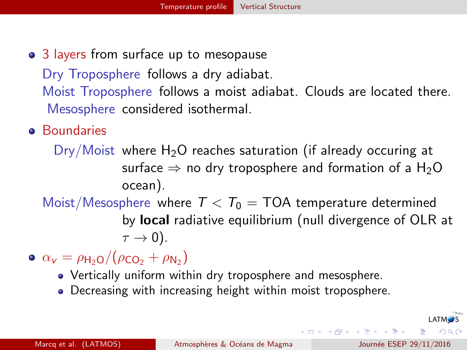<span id="page-5-0"></span>• 3 layers from surface up to mesopause

Dry Troposphere follows a dry adiabat. Moist Troposphere follows a moist adiabat. Clouds are located there. Mesosphere considered isothermal.

- **•** Boundaries
	- $Dry/Moist$  where  $H_2O$  reaches saturation (if already occuring at surface  $\Rightarrow$  no dry troposphere and formation of a H<sub>2</sub>O ocean).
	- Moist/Mesosphere where  $T < T_0 = T_0$  temperature determined by local radiative equilibrium (null divergence of OLR at  $\tau \rightarrow 0$ ).
- $\alpha_{\rm v} = \rho_{\rm H_2O}/(\rho_{\rm CO_2} + \rho_{\rm N_2})$ 
	- Vertically uniform within dry troposphere and mesosphere.
	- Decreasing with increasing height within moist troposphere.

э

 $\Omega$ 

イロト イ押ト イヨト イヨト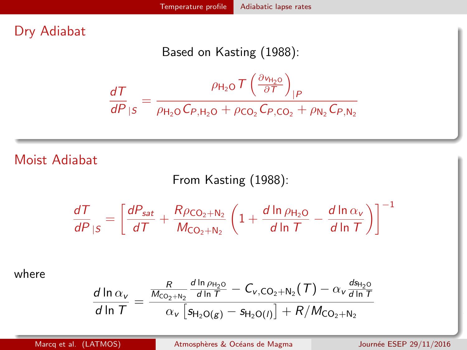#### <span id="page-6-0"></span>Dry Adiabat

Based on Kasting (1988):

$$
\frac{dT}{dP_{|S}} = \frac{\rho_{H_2O} T \left( \frac{\partial v_{H_2O}}{\partial T} \right)_{|P}}{\rho_{H_2O} C_{P,H_2O} + \rho_{CO_2} C_{P,CO_2} + \rho_{N_2} C_{P,N_2}}
$$

Moist Adiabat

From Kasting (1988):

$$
\frac{dT}{dP}_{|S} = \left[ \frac{dP_{sat}}{dT} + \frac{R\rho_{\text{CO}_2 + \text{N}_2}}{M_{\text{CO}_2 + \text{N}_2}} \left( 1 + \frac{d\ln\rho_{\text{H}_2\text{O}}}{d\ln T} - \frac{d\ln\alpha_v}{d\ln T} \right) \right]^{-1}
$$

where

$$
\frac{d \ln \alpha_v}{d \ln T} = \frac{\frac{R}{M_{\text{CO}_2 + \text{N}_2}} \frac{d \ln \rho_{\text{H}_2\text{O}}}{d \ln T} - C_{v,\text{CO}_2 + \text{N}_2}(T) - \alpha_v \frac{d \text{S}_{\text{H}_2\text{O}}}{d \ln T}}{\alpha_v \left[\text{S}_{\text{H}_2\text{O}(g)} - \text{S}_{\text{H}_2\text{O}(I)}\right] + R/M_{\text{CO}_2 + \text{N}_2}}
$$

Marcq et al. (LATMOS) Atmosphères & Océans de Magma Journée ESEP 29/11/2016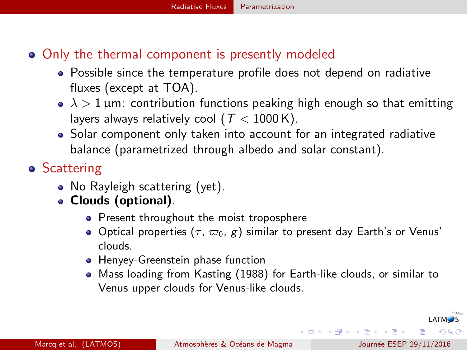- <span id="page-7-0"></span>Only the thermal component is presently modeled
	- Possible since the temperature profile does not depend on radiative fluxes (except at TOA).
	- $\lambda > 1$  µm: contribution functions peaking high enough so that emitting layers always relatively cool ( $T < 1000$  K).
	- Solar component only taken into account for an integrated radiative balance (parametrized through albedo and solar constant).

## **•** Scattering

- No Rayleigh scattering (yet).
- Clouds (optional).
	- Present throughout the moist troposphere
	- Optical properties  $(\tau, \varpi_0, g)$  similar to present day Earth's or Venus' clouds.
	- **Henyey-Greenstein phase function**
	- Mass loading from Kasting (1988) for Earth-like clouds, or similar to Venus upper clouds for Venus-like clouds.

G.

**K ロ ▶ | K 母 ▶ | K ヨ ▶ | K ヨ ▶ |** 

**LATM**<sub>S</sub>

 $QQQ$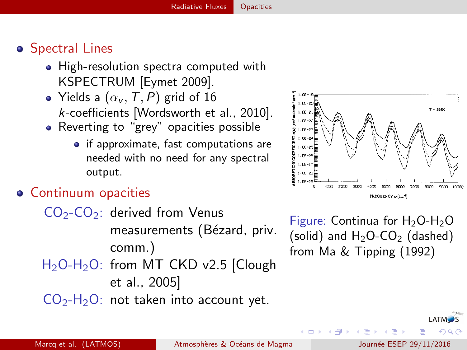#### <span id="page-8-0"></span>**o** Spectral Lines

- High-resolution spectra computed with KSPECTRUM [Eymet 2009].
- Yields a  $(\alpha_{\nu}, T, P)$  grid of 16 k-coefficients [Wordsworth et al., 2010].
- Reverting to "grey" opacities possible
	- if approximate, fast computations are needed with no need for any spectral output.

#### Continuum opacities

 $CO<sub>2</sub>-CO<sub>2</sub>$ : derived from Venus measurements (Bézard, priv. comm.) H<sub>2</sub>O-H<sub>2</sub>O: from MT\_CKD v2.5 [Clough et al., 2005]

 $CO<sub>2</sub>-H<sub>2</sub>O$ : not taken into account yet.

 $T = 205K$  $1.08 - 2$ **omn** 3000 2000 6000 onm FREQUENCY  $\omega$  (cm<sup>-2</sup>)

Figure: Continua for  $H_2O-H_2O$ (solid) and  $H_2O$ -CO<sub>2</sub> (dashed) from Ma & Tipping (1992)

 $\Omega$ 

 $\rightarrow$   $\equiv$   $\rightarrow$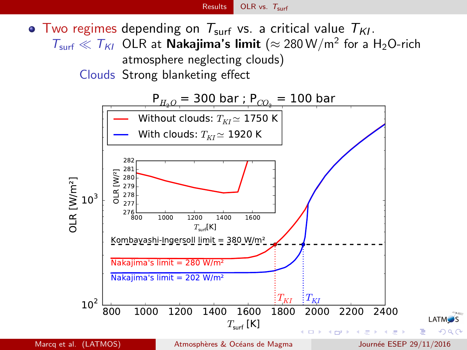[Results](#page-9-0) [OLR vs.](#page-9-0) T<sub>surf</sub>

<span id="page-9-0"></span> $\bullet$  Two regimes depending on  $T_{surf}$  vs. a critical value  $T_{KI}$ .  $T_{\text{surf}} \ll T_{\text{KI}}$  OLR at **Nakajima's limit** ( $\approx 280 \,\text{W/m}^2$  for a H<sub>2</sub>O-rich

atmosphere neglecting clouds)

Clouds Strong blanketing effect

![](_page_9_Figure_4.jpeg)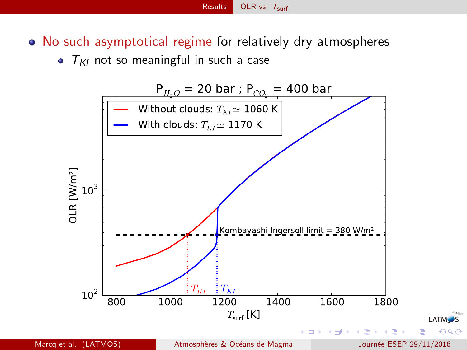- <span id="page-10-0"></span>• No such asymptotical regime for relatively dry atmospheres
	- $\bullet$   $T_{\text{KI}}$  not so meaningful in such a case

![](_page_10_Figure_3.jpeg)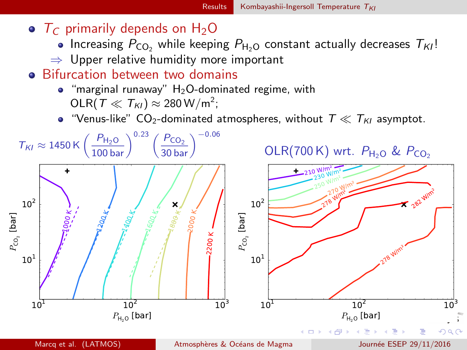- <span id="page-11-0"></span> $\bullet$  T<sub>C</sub> primarily depends on H<sub>2</sub>O
	- Increasing  $P_{CO_2}$  while keeping  $P_{H_2O}$  constant actually decreases  $T_{K1}!$
	- $\Rightarrow$  Upper relative humidity more important
- Bifurcation between two domains
	- $\bullet$  "marginal runaway"  $H_2O$ -dominated regime, with  $\mathsf{OLR}(\mathcal{T}\ll\mathcal{T}_{\mathcal{KI}})\approx 280\,\mathsf{W/m^2};$
	- "Venus-like" CO<sub>2</sub>-dominated atmospheres, without  $T \ll T_{\text{KI}}$  asymptot.

![](_page_11_Figure_8.jpeg)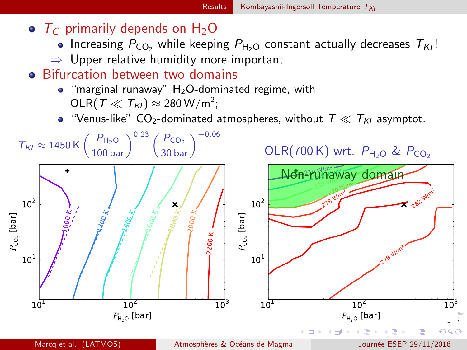- <span id="page-12-0"></span> $\bullet$  T<sub>C</sub> primarily depends on H<sub>2</sub>O
	- Increasing  $P_{CO_2}$  while keeping  $P_{H_2O}$  constant actually decreases  $T_{K1}!$
	- $\Rightarrow$  Upper relative humidity more important
- Bifurcation between two domains
	- $\bullet$  "marginal runaway"  $H_2O$ -dominated regime, with  $\mathsf{OLR}(\mathcal{T}\ll\mathcal{T}_{\mathcal{KI}})\approx 280\,\mathsf{W/m^2};$
	- "Venus-like" CO<sub>2</sub>-dominated atmospheres, without  $T \ll T_{\text{KI}}$  asymptot.

![](_page_12_Figure_8.jpeg)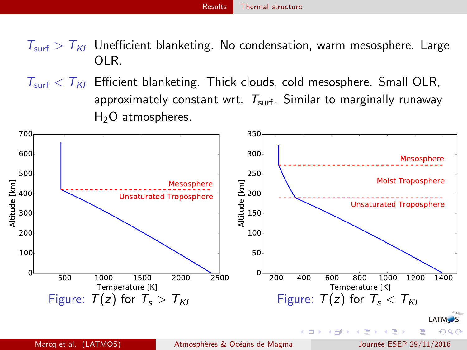- <span id="page-13-0"></span> $T_{surf} > T_{K1}$  Unefficient blanketing. No condensation, warm mesosphere. Large OLR.
- $T_{\text{surf}} < T_{\text{KI}}$  Efficient blanketing. Thick clouds, cold mesosphere. Small OLR, approximately constant wrt.  $T_{surf}$ . Similar to marginally runaway H<sub>2</sub>O atmospheres.

![](_page_13_Figure_3.jpeg)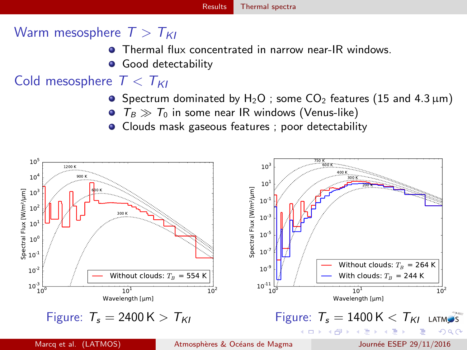#### [Results](#page-14-0) [Thermal spectra](#page-14-0)

#### <span id="page-14-0"></span>Warm mesosphere  $T > T_{\text{KI}}$

- **•** Thermal flux concentrated in narrow near-IR windows.
- **Good detectability**

#### Cold mesosphere  $T < T_{\text{KI}}$

- **•** Spectrum dominated by H<sub>2</sub>O ; some CO<sub>2</sub> features (15 and 4.3  $\mu$ m)
- $T_B \gg T_0$  in some near IR windows (Venus-like)
- Clouds mask gaseous features ; poor detectability

![](_page_14_Figure_9.jpeg)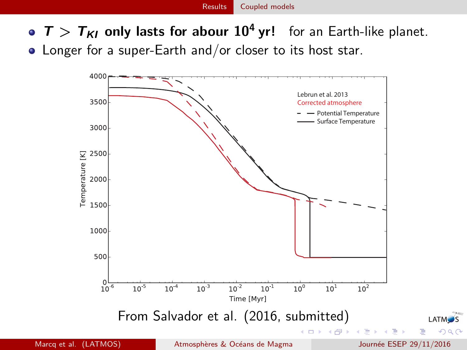<span id="page-15-0"></span>•  $T > T_{KI}$  only lasts for abour  $10^4$  yr! for an Earth-like planet. • Longer for a super-Earth and/or closer to its host star.

![](_page_15_Figure_3.jpeg)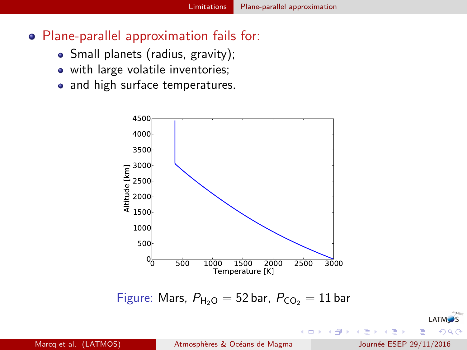#### <span id="page-16-0"></span>Plane-parallel approximation fails for:

- Small planets (radius, gravity);
- with large volatile inventories;
- and high surface temperatures.

![](_page_16_Figure_5.jpeg)

Figure: Mars,  $P_{H_2O} = 52$  bar,  $P_{CO_2} = 11$  bar

LATM<sub>S</sub>  $\Omega$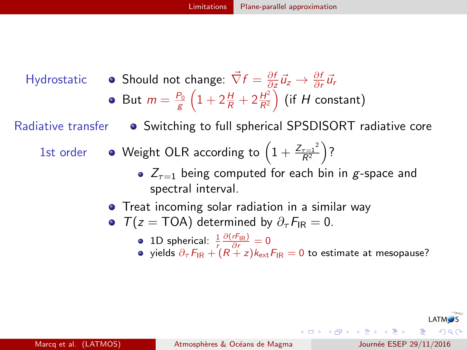- <span id="page-17-0"></span>Hydrostatic  $\bullet$  Should not change:  $\vec{\nabla}f = \frac{\partial f}{\partial z}\vec{u}_z \rightarrow \frac{\partial f}{\partial r}\vec{u}_r$ 
	- But  $m = \frac{P_0}{g} \left( 1 + 2 \frac{H}{R} + 2 \frac{H^2}{R^2} \right)$  $\frac{H^2}{R^2}$  (if H constant)

Radiative transfer  $\bullet$  Switching to full spherical SPSDISORT radiative core

- 1st order  $\qquad \bullet$  Weight OLR according to  $\left(1 + \frac{Z_{\tau=1}^2}{R^2}\right)$  $\frac{\tau=1^2}{R^2}$ )?
	- $Z_{\tau=1}$  being computed for each bin in g-space and spectral interval.
	- **•** Treat incoming solar radiation in a similar way
	- $T(z = TOA)$  determined by  $\partial_{\tau}F_{IR} = 0$ .
		- 1D spherical:  $\frac{1}{r} \frac{\partial (rF_{\text{IR}})}{\partial r} = 0$
		- $\frac{1}{2}$  spinched:  $\frac{1}{r}$   $\frac{\partial r}{\partial t}$   $\frac{1}{r}$   $\frac{\partial r}{\partial t}$   $\frac{1}{r}$   $\frac{\partial r}{\partial t}$   $\frac{1}{r}$   $\frac{\partial r}{\partial t}$   $\frac{1}{r}$   $\frac{\partial r}{\partial t}$   $\frac{1}{r}$   $\frac{\partial r}{\partial t}$   $\frac{1}{r}$   $\frac{\partial r}{\partial t}$   $\frac{1}{r}$   $\frac{\partial r}{\partial t}$   $\frac{1}{r}$   $\frac{\partial r}{$

÷

**イロト イ母ト イヨト イヨト** 

**LATM**<sub>S</sub>

 $\Omega$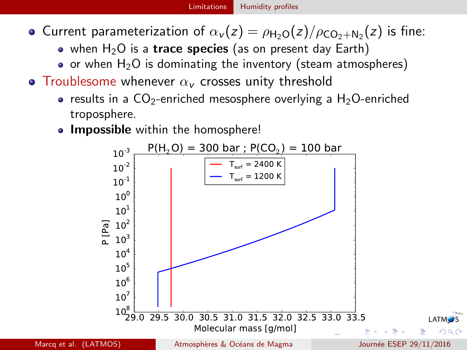- <span id="page-18-0"></span>Current parameterization of  $\alpha_{\nu}(z) = \rho_{\rm H_2O}(z)/\rho_{\rm CO_2+N_2}(z)$  is fine:
	- when  $H_2O$  is a trace species (as on present day Earth)
	- $\bullet$  or when H<sub>2</sub>O is dominating the inventory (steam atmospheres)
- Troublesome whenever  $\alpha_{\nu}$  crosses unity threshold
	- results in a  $CO_2$ -enriched mesosphere overlying a  $H_2O$ -enriched troposphere.
	- **Impossible** within the homosphere!

![](_page_18_Figure_8.jpeg)